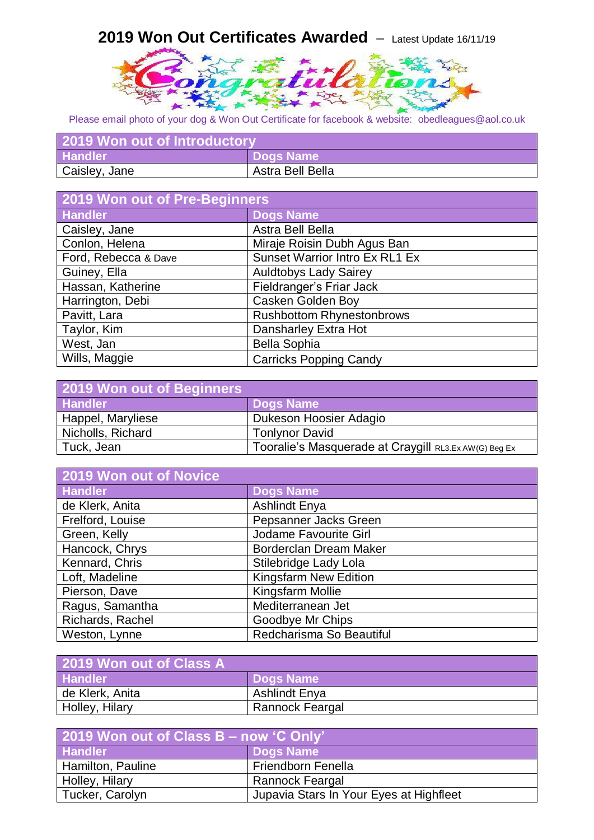## **2019 Won Out Certificates Awarded** – Latest Update 16/11/19



Please email photo of your dog & Won Out Certificate for facebook & website: obedleagues@aol.co.uk

| 2019 Won out of Introductory |                  |
|------------------------------|------------------|
| <b>Handler</b>               | Dogs Name        |
| Caisley, Jane                | Astra Bell Bella |

| <b>2019 Won out of Pre-Beginners</b> |                                  |
|--------------------------------------|----------------------------------|
| <b>Handler</b>                       | <b>Dogs Name</b>                 |
| Caisley, Jane                        | Astra Bell Bella                 |
| Conlon, Helena                       | Miraje Roisin Dubh Agus Ban      |
| Ford, Rebecca & Dave                 | Sunset Warrior Intro Ex RL1 Ex   |
| Guiney, Ella                         | <b>Auldtobys Lady Sairey</b>     |
| Hassan, Katherine                    | Fieldranger's Friar Jack         |
| Harrington, Debi                     | <b>Casken Golden Boy</b>         |
| Pavitt, Lara                         | <b>Rushbottom Rhynestonbrows</b> |
| Taylor, Kim                          | Dansharley Extra Hot             |
| West, Jan                            | <b>Bella Sophia</b>              |
| Wills, Maggie                        | <b>Carricks Popping Candy</b>    |

| 2019 Won out of Beginners |                                                       |
|---------------------------|-------------------------------------------------------|
| <b>Handler</b>            | Dogs Name                                             |
| Happel, Maryliese         | Dukeson Hoosier Adagio                                |
| Nicholls, Richard         | <b>Tonlynor David</b>                                 |
| Tuck, Jean                | Tooralie's Masquerade at Craygill RL3.Ex AW(G) Beg Ex |

| 2019 Won out of Novice |                               |
|------------------------|-------------------------------|
| <b>Handler</b>         | <b>Dogs Name</b>              |
| de Klerk, Anita        | <b>Ashlindt Enya</b>          |
| Frelford, Louise       | Pepsanner Jacks Green         |
| Green, Kelly           | Jodame Favourite Girl         |
| Hancock, Chrys         | <b>Borderclan Dream Maker</b> |
| Kennard, Chris         | Stilebridge Lady Lola         |
| Loft, Madeline         | <b>Kingsfarm New Edition</b>  |
| Pierson, Dave          | Kingsfarm Mollie              |
| Ragus, Samantha        | Mediterranean Jet             |
| Richards, Rachel       | Goodbye Mr Chips              |
| Weston, Lynne          | Redcharisma So Beautiful      |

| 2019 Won out of Class A |                      |
|-------------------------|----------------------|
| <b>Handler</b>          | <b>Dogs Name</b>     |
| de Klerk, Anita         | <b>Ashlindt Enya</b> |
| Holley, Hilary          | Rannock Feargal      |

| 2019 Won out of Class B - now 'C Only' |                                         |
|----------------------------------------|-----------------------------------------|
| <b>Handler</b>                         | <b>Dogs Name</b>                        |
| Hamilton, Pauline                      | <b>Friendborn Fenella</b>               |
| Holley, Hilary                         | Rannock Feargal                         |
| Tucker, Carolyn                        | Jupavia Stars In Your Eyes at Highfleet |